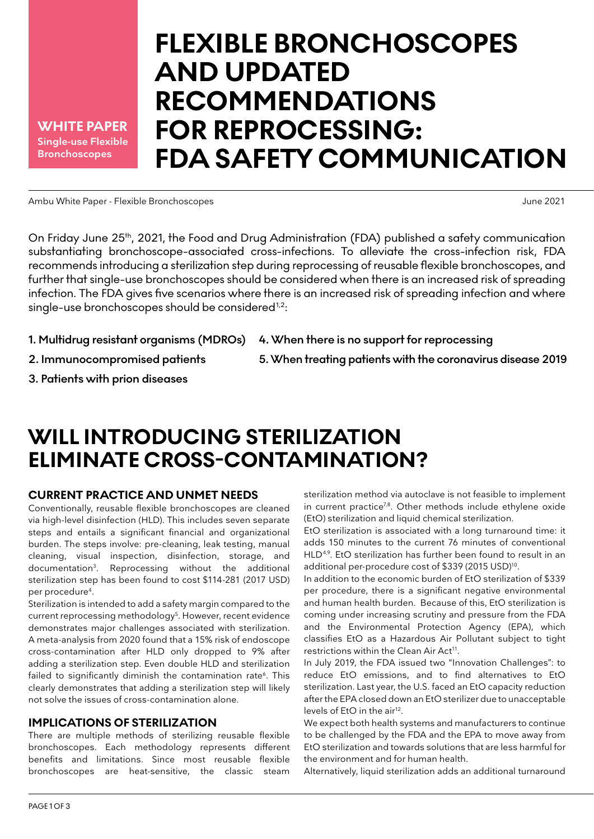**Single-use Flexible Bronchoscopes WHITE PAPER**

# **FLEXIBLE BRONCHOSCOPES AND UPDATED RECOMMENDATIONS FOR REPROCESSING: FDA SAFETY COMMUNICATION**

Ambu White Paper - Flexible Bronchoscopes June 2021

On Friday June 25<sup>th</sup>, 2021, the Food and Drug Administration (FDA) published a safety communication substantiating bronchoscope-associated cross-infections. To alleviate the cross-infection risk, FDA recommends introducing a sterilization step during reprocessing of reusable flexible bronchoscopes, and further that single-use bronchoscopes should be considered when there is an increased risk of spreading infection. The FDA gives five scenarios where there is an increased risk of spreading infection and where single-use bronchoscopes should be considered $1,2$ :

- **1. Multidrug resistant organisms (MDROs)**
- **2. Immunocompromised patients**
- **3. Patients with prion diseases**
- **4. When there is no support for reprocessing**
- **5. When treating patients with the coronavirus disease 2019**

## **WILL INTRODUCING STERILIZATION ELIMINATE CROSS-CONTAMINATION?**

### **CURRENT PRACTICE AND UNMET NEEDS**

Conventionally, reusable flexible bronchoscopes are cleaned via high-level disinfection (HLD). This includes seven separate steps and entails a significant financial and organizational burden. The steps involve: pre-cleaning, leak testing, manual cleaning, visual inspection, disinfection, storage, and documentation3. Reprocessing without the additional sterilization step has been found to cost \$114-281 (2017 USD) per procedure4.

Sterilization is intended to add a safety margin compared to the current reprocessing methodology<sup>5</sup>. However, recent evidence demonstrates major challenges associated with sterilization. A meta-analysis from 2020 found that a 15% risk of endoscope cross-contamination after HLD only dropped to 9% after adding a sterilization step. Even double HLD and sterilization failed to significantly diminish the contamination rate<sup>6</sup>. This clearly demonstrates that adding a sterilization step will likely not solve the issues of cross-contamination alone.

### **IMPLICATIONS OF STERILIZATION**

There are multiple methods of sterilizing reusable flexible bronchoscopes. Each methodology represents different benefits and limitations. Since most reusable flexible bronchoscopes are heat-sensitive, the classic steam

sterilization method via autoclave is not feasible to implement in current practice<sup>7,8</sup>. Other methods include ethylene oxide (EtO) sterilization and liquid chemical sterilization.

EtO sterilization is associated with a long turnaround time: it adds 150 minutes to the current 76 minutes of conventional HLD<sup>4,9</sup>. EtO sterilization has further been found to result in an additional per-procedure cost of \$339 (2015 USD)<sup>10</sup>.

In addition to the economic burden of EtO sterilization of \$339 per procedure, there is a significant negative environmental and human health burden. Because of this, EtO sterilization is coming under increasing scrutiny and pressure from the FDA and the Environmental Protection Agency (EPA), which classifies EtO as a Hazardous Air Pollutant subject to tight restrictions within the Clean Air Act<sup>11</sup>.

In July 2019, the FDA issued two "Innovation Challenges": to reduce EtO emissions, and to find alternatives to EtO sterilization. Last year, the U.S. faced an EtO capacity reduction after the EPA closed down an EtO sterilizer due to unacceptable levels of EtO in the air<sup>12</sup>.

We expect both health systems and manufacturers to continue to be challenged by the FDA and the EPA to move away from EtO sterilization and towards solutions that are less harmful for the environment and for human health.

Alternatively, liquid sterilization adds an additional turnaround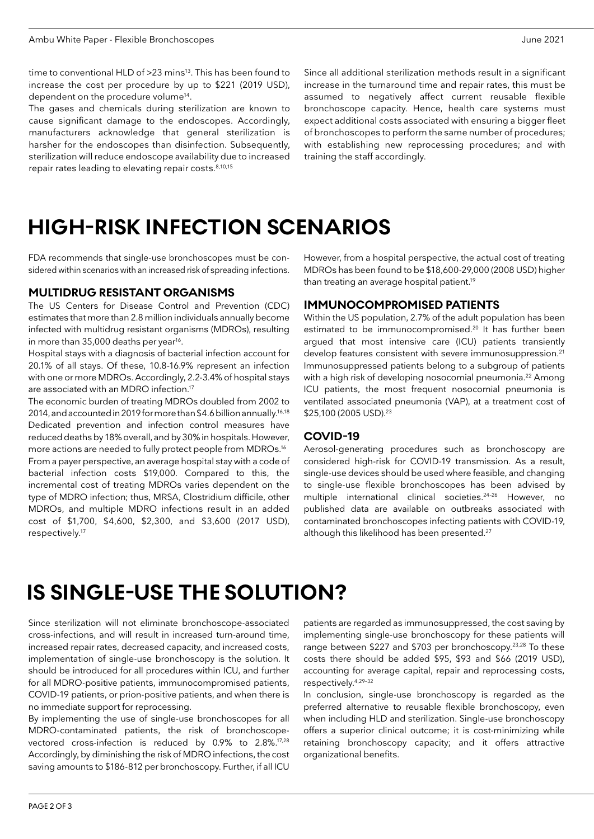time to conventional HLD of >23 mins<sup>13</sup>. This has been found to increase the cost per procedure by up to \$221 (2019 USD), dependent on the procedure volume<sup>14</sup>.

The gases and chemicals during sterilization are known to cause significant damage to the endoscopes. Accordingly, manufacturers acknowledge that general sterilization is harsher for the endoscopes than disinfection. Subsequently, sterilization will reduce endoscope availability due to increased repair rates leading to elevating repair costs. 8,10,15

Since all additional sterilization methods result in a significant increase in the turnaround time and repair rates, this must be assumed to negatively affect current reusable flexible bronchoscope capacity. Hence, health care systems must expect additional costs associated with ensuring a bigger fleet of bronchoscopes to perform the same number of procedures; with establishing new reprocessing procedures; and with training the staff accordingly.

## **HIGH-RISK INFECTION SCENARIOS**

FDA recommends that single-use bronchoscopes must be considered within scenarios with an increased risk of spreading infections.

#### **MULTIDRUG RESISTANT ORGANISMS**

The US Centers for Disease Control and Prevention (CDC) estimates that more than 2.8 million individuals annually become infected with multidrug resistant organisms (MDROs), resulting in more than 35,000 deaths per year<sup>16</sup>.

Hospital stays with a diagnosis of bacterial infection account for 20.1% of all stays. Of these, 10.8-16.9% represent an infection with one or more MDROs. Accordingly, 2.2-3.4% of hospital stays are associated with an MDRO infection.17

The economic burden of treating MDROs doubled from 2002 to 2014, and accounted in 2019 for more than \$4.6 billion annually.16,18 Dedicated prevention and infection control measures have reduced deaths by 18% overall, and by 30% in hospitals. However, more actions are needed to fully protect people from MDROs.16 From a payer perspective, an average hospital stay with a code of bacterial infection costs \$19,000. Compared to this, the incremental cost of treating MDROs varies dependent on the type of MDRO infection; thus, MRSA, Clostridium difficile, other MDROs, and multiple MDRO infections result in an added cost of \$1,700, \$4,600, \$2,300, and \$3,600 (2017 USD), respectively.17

However, from a hospital perspective, the actual cost of treating MDROs has been found to be \$18,600-29,000 (2008 USD) higher than treating an average hospital patient.<sup>19</sup>

#### **IMMUNOCOMPROMISED PATIENTS**

Within the US population, 2.7% of the adult population has been estimated to be immunocompromised.20 It has further been argued that most intensive care (ICU) patients transiently develop features consistent with severe immunosuppression.<sup>21</sup> Immunosuppressed patients belong to a subgroup of patients with a high risk of developing nosocomial pneumonia.<sup>22</sup> Among ICU patients, the most frequent nosocomial pneumonia is ventilated associated pneumonia (VAP), at a treatment cost of \$25,100 (2005 USD).<sup>23</sup>

#### **COVID-19**

Aerosol-generating procedures such as bronchoscopy are considered high-risk for COVID-19 transmission. As a result, single-use devices should be used where feasible, and changing to single-use flexible bronchoscopes has been advised by multiple international clinical societies.24–26 However, no published data are available on outbreaks associated with contaminated bronchoscopes infecting patients with COVID-19, although this likelihood has been presented.<sup>27</sup>

## **IS SINGLE-USE THE SOLUTION?**

Since sterilization will not eliminate bronchoscope-associated cross-infections, and will result in increased turn-around time, increased repair rates, decreased capacity, and increased costs, implementation of single-use bronchoscopy is the solution. It should be introduced for all procedures within ICU, and further for all MDRO-positive patients, immunocompromised patients, COVID-19 patients, or prion-positive patients, and when there is no immediate support for reprocessing.

By implementing the use of single-use bronchoscopes for all MDRO-contaminated patients, the risk of bronchoscopevectored cross-infection is reduced by 0.9% to 2.8%.17,28 Accordingly, by diminishing the risk of MDRO infections, the cost saving amounts to \$186-812 per bronchoscopy. Further, if all ICU

patients are regarded as immunosuppressed, the cost saving by implementing single-use bronchoscopy for these patients will range between \$227 and \$703 per bronchoscopy.<sup>23,28</sup> To these costs there should be added \$95, \$93 and \$66 (2019 USD), accounting for average capital, repair and reprocessing costs, respectively.4,29–32

In conclusion, single-use bronchoscopy is regarded as the preferred alternative to reusable flexible bronchoscopy, even when including HLD and sterilization. Single-use bronchoscopy offers a superior clinical outcome; it is cost-minimizing while retaining bronchoscopy capacity; and it offers attractive organizational benefits.